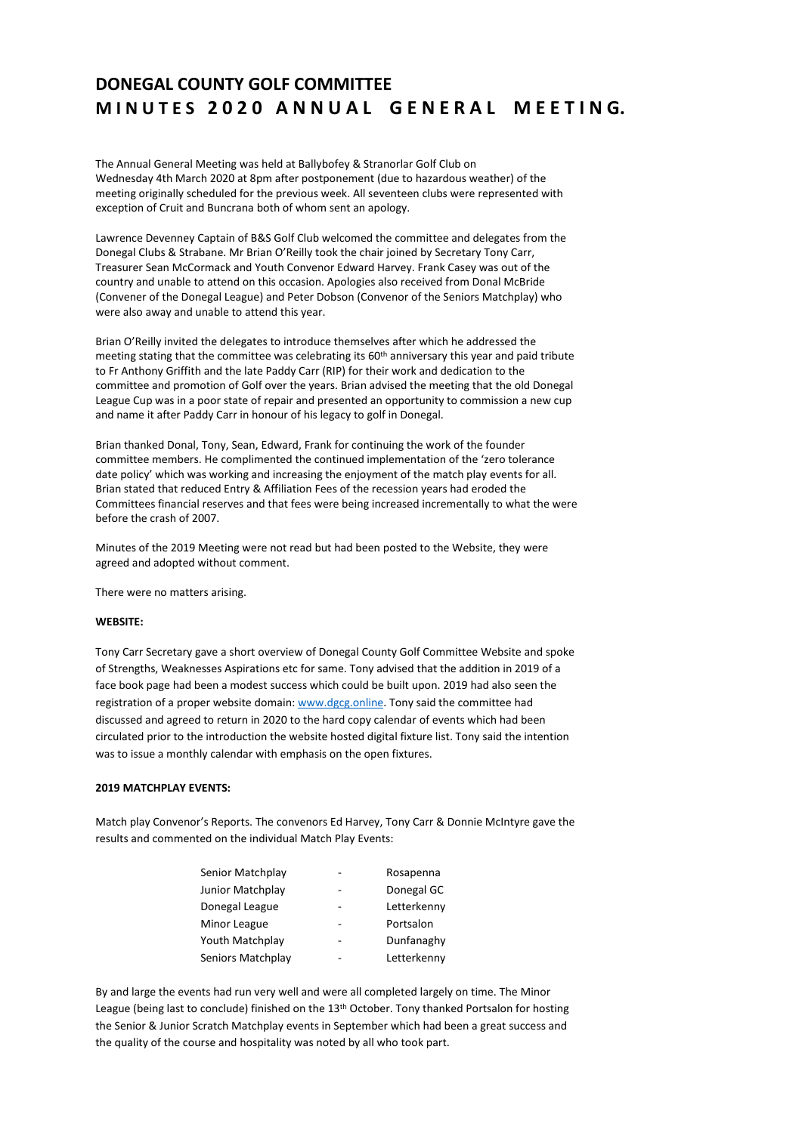# **DONEGAL COUNTY GOLF COMMITTEE M I N U T E S 2 0 2 0 A N N U A L G E N E R A L M E E T I N G.**

The Annual General Meeting was held at Ballybofey & Stranorlar Golf Club on Wednesday 4th March 2020 at 8pm after postponement (due to hazardous weather) of the meeting originally scheduled for the previous week. All seventeen clubs were represented with exception of Cruit and Buncrana both of whom sent an apology.

Lawrence Devenney Captain of B&S Golf Club welcomed the committee and delegates from the Donegal Clubs & Strabane. Mr Brian O'Reilly took the chair joined by Secretary Tony Carr, Treasurer Sean McCormack and Youth Convenor Edward Harvey. Frank Casey was out of the country and unable to attend on this occasion. Apologies also received from Donal McBride (Convener of the Donegal League) and Peter Dobson (Convenor of the Seniors Matchplay) who were also away and unable to attend this year.

Brian O'Reilly invited the delegates to introduce themselves after which he addressed the meeting stating that the committee was celebrating its 60<sup>th</sup> anniversary this year and paid tribute to Fr Anthony Griffith and the late Paddy Carr (RIP) for their work and dedication to the committee and promotion of Golf over the years. Brian advised the meeting that the old Donegal League Cup was in a poor state of repair and presented an opportunity to commission a new cup and name it after Paddy Carr in honour of his legacy to golf in Donegal.

Brian thanked Donal, Tony, Sean, Edward, Frank for continuing the work of the founder committee members. He complimented the continued implementation of the 'zero tolerance date policy' which was working and increasing the enjoyment of the match play events for all. Brian stated that reduced Entry & Affiliation Fees of the recession years had eroded the Committees financial reserves and that fees were being increased incrementally to what the were before the crash of 2007.

Minutes of the 2019 Meeting were not read but had been posted to the Website, they were agreed and adopted without comment.

There were no matters arising.

### **WEBSITE:**

Tony Carr Secretary gave a short overview of Donegal County Golf Committee Website and spoke of Strengths, Weaknesses Aspirations etc for same. Tony advised that the addition in 2019 of a face book page had been a modest success which could be built upon. 2019 had also seen the registration of a proper website domain[: www.dgcg.online.](http://www.dgcg.online/) Tony said the committee had discussed and agreed to return in 2020 to the hard copy calendar of events which had been circulated prior to the introduction the website hosted digital fixture list. Tony said the intention was to issue a monthly calendar with emphasis on the open fixtures.

# **2019 MATCHPLAY EVENTS:**

Match play Convenor's Reports. The convenors Ed Harvey, Tony Carr & Donnie McIntyre gave the results and commented on the individual Match Play Events:

| Senior Matchplay  | ۰ | Rosapenna   |
|-------------------|---|-------------|
| Junior Matchplay  |   | Donegal GC  |
| Donegal League    | ۰ | Letterkenny |
| Minor League      |   | Portsalon   |
| Youth Matchplay   | - | Dunfanaghy  |
| Seniors Matchplay |   | Letterkenny |

By and large the events had run very well and were all completed largely on time. The Minor League (being last to conclude) finished on the 13<sup>th</sup> October. Tony thanked Portsalon for hosting the Senior & Junior Scratch Matchplay events in September which had been a great success and the quality of the course and hospitality was noted by all who took part.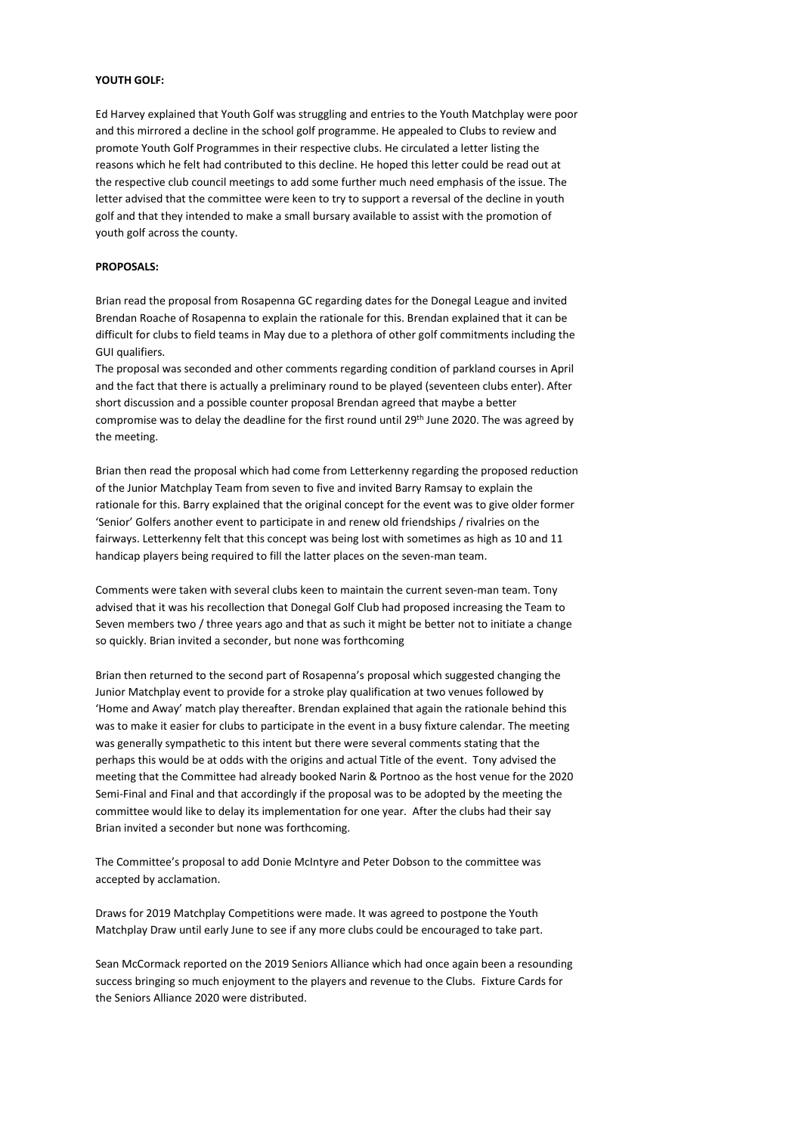## **YOUTH GOLF:**

Ed Harvey explained that Youth Golf was struggling and entries to the Youth Matchplay were poor and this mirrored a decline in the school golf programme. He appealed to Clubs to review and promote Youth Golf Programmes in their respective clubs. He circulated a letter listing the reasons which he felt had contributed to this decline. He hoped this letter could be read out at the respective club council meetings to add some further much need emphasis of the issue. The letter advised that the committee were keen to try to support a reversal of the decline in youth golf and that they intended to make a small bursary available to assist with the promotion of youth golf across the county.

#### **PROPOSALS:**

Brian read the proposal from Rosapenna GC regarding dates for the Donegal League and invited Brendan Roache of Rosapenna to explain the rationale for this. Brendan explained that it can be difficult for clubs to field teams in May due to a plethora of other golf commitments including the GUI qualifiers.

The proposal was seconded and other comments regarding condition of parkland courses in April and the fact that there is actually a preliminary round to be played (seventeen clubs enter). After short discussion and a possible counter proposal Brendan agreed that maybe a better compromise was to delay the deadline for the first round until 29th June 2020. The was agreed by the meeting.

Brian then read the proposal which had come from Letterkenny regarding the proposed reduction of the Junior Matchplay Team from seven to five and invited Barry Ramsay to explain the rationale for this. Barry explained that the original concept for the event was to give older former 'Senior' Golfers another event to participate in and renew old friendships / rivalries on the fairways. Letterkenny felt that this concept was being lost with sometimes as high as 10 and 11 handicap players being required to fill the latter places on the seven-man team.

Comments were taken with several clubs keen to maintain the current seven-man team. Tony advised that it was his recollection that Donegal Golf Club had proposed increasing the Team to Seven members two / three years ago and that as such it might be better not to initiate a change so quickly. Brian invited a seconder, but none was forthcoming

Brian then returned to the second part of Rosapenna's proposal which suggested changing the Junior Matchplay event to provide for a stroke play qualification at two venues followed by 'Home and Away' match play thereafter. Brendan explained that again the rationale behind this was to make it easier for clubs to participate in the event in a busy fixture calendar. The meeting was generally sympathetic to this intent but there were several comments stating that the perhaps this would be at odds with the origins and actual Title of the event. Tony advised the meeting that the Committee had already booked Narin & Portnoo as the host venue for the 2020 Semi-Final and Final and that accordingly if the proposal was to be adopted by the meeting the committee would like to delay its implementation for one year. After the clubs had their say Brian invited a seconder but none was forthcoming.

The Committee's proposal to add Donie McIntyre and Peter Dobson to the committee was accepted by acclamation.

Draws for 2019 Matchplay Competitions were made. It was agreed to postpone the Youth Matchplay Draw until early June to see if any more clubs could be encouraged to take part.

Sean McCormack reported on the 2019 Seniors Alliance which had once again been a resounding success bringing so much enjoyment to the players and revenue to the Clubs. Fixture Cards for the Seniors Alliance 2020 were distributed.